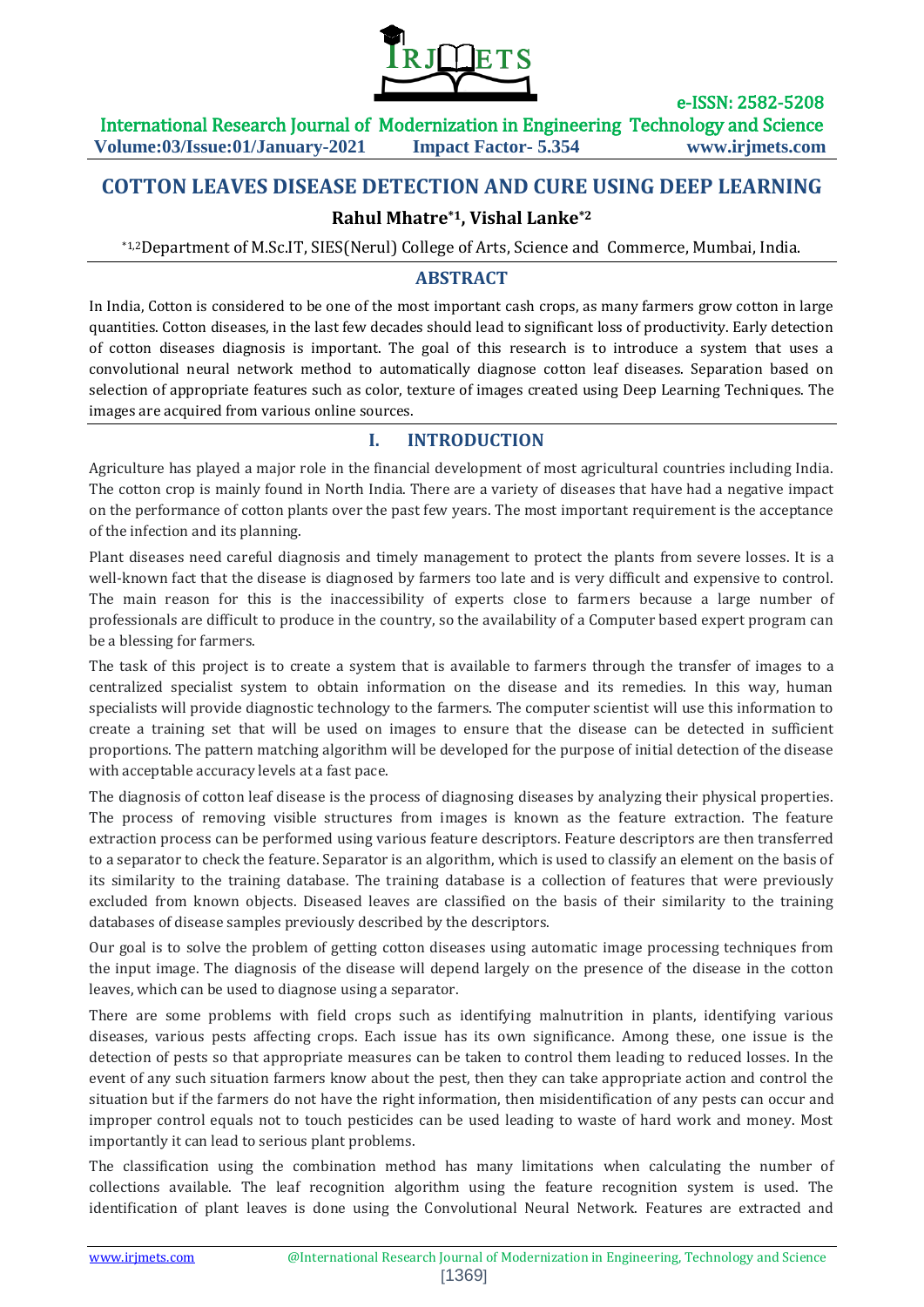

e-ISSN: 2582-5208

# **COTTON LEAVES DISEASE DETECTION AND CURE USING DEEP LEARNING**

# **Rahul Mhatre\*1, Vishal Lanke\*2**

\*1,2Department of M.Sc.IT, SIES(Nerul) College of Arts, Science and Commerce, Mumbai, India.

## **ABSTRACT**

In India, Cotton is considered to be one of the most important cash crops, as many farmers grow cotton in large quantities. Cotton diseases, in the last few decades should lead to significant loss of productivity. Early detection of cotton diseases diagnosis is important. The goal of this research is to introduce a system that uses a convolutional neural network method to automatically diagnose cotton leaf diseases. Separation based on selection of appropriate features such as color, texture of images created using Deep Learning Techniques. The images are acquired from various online sources.

### **I. INTRODUCTION**

Agriculture has played a major role in the financial development of most agricultural countries including India. The cotton crop is mainly found in North India. There are a variety of diseases that have had a negative impact on the performance of cotton plants over the past few years. The most important requirement is the acceptance of the infection and its planning.

Plant diseases need careful diagnosis and timely management to protect the plants from severe losses. It is a well-known fact that the disease is diagnosed by farmers too late and is very difficult and expensive to control. The main reason for this is the inaccessibility of experts close to farmers because a large number of professionals are difficult to produce in the country, so the availability of a Computer based expert program can be a blessing for farmers.

The task of this project is to create a system that is available to farmers through the transfer of images to a centralized specialist system to obtain information on the disease and its remedies. In this way, human specialists will provide diagnostic technology to the farmers. The computer scientist will use this information to create a training set that will be used on images to ensure that the disease can be detected in sufficient proportions. The pattern matching algorithm will be developed for the purpose of initial detection of the disease with acceptable accuracy levels at a fast pace.

The diagnosis of cotton leaf disease is the process of diagnosing diseases by analyzing their physical properties. The process of removing visible structures from images is known as the feature extraction. The feature extraction process can be performed using various feature descriptors. Feature descriptors are then transferred to a separator to check the feature. Separator is an algorithm, which is used to classify an element on the basis of its similarity to the training database. The training database is a collection of features that were previously excluded from known objects. Diseased leaves are classified on the basis of their similarity to the training databases of disease samples previously described by the descriptors.

Our goal is to solve the problem of getting cotton diseases using automatic image processing techniques from the input image. The diagnosis of the disease will depend largely on the presence of the disease in the cotton leaves, which can be used to diagnose using a separator.

There are some problems with field crops such as identifying malnutrition in plants, identifying various diseases, various pests affecting crops. Each issue has its own significance. Among these, one issue is the detection of pests so that appropriate measures can be taken to control them leading to reduced losses. In the event of any such situation farmers know about the pest, then they can take appropriate action and control the situation but if the farmers do not have the right information, then misidentification of any pests can occur and improper control equals not to touch pesticides can be used leading to waste of hard work and money. Most importantly it can lead to serious plant problems.

The classification using the combination method has many limitations when calculating the number of collections available. The leaf recognition algorithm using the feature recognition system is used. The identification of plant leaves is done using the Convolutional Neural Network. Features are extracted and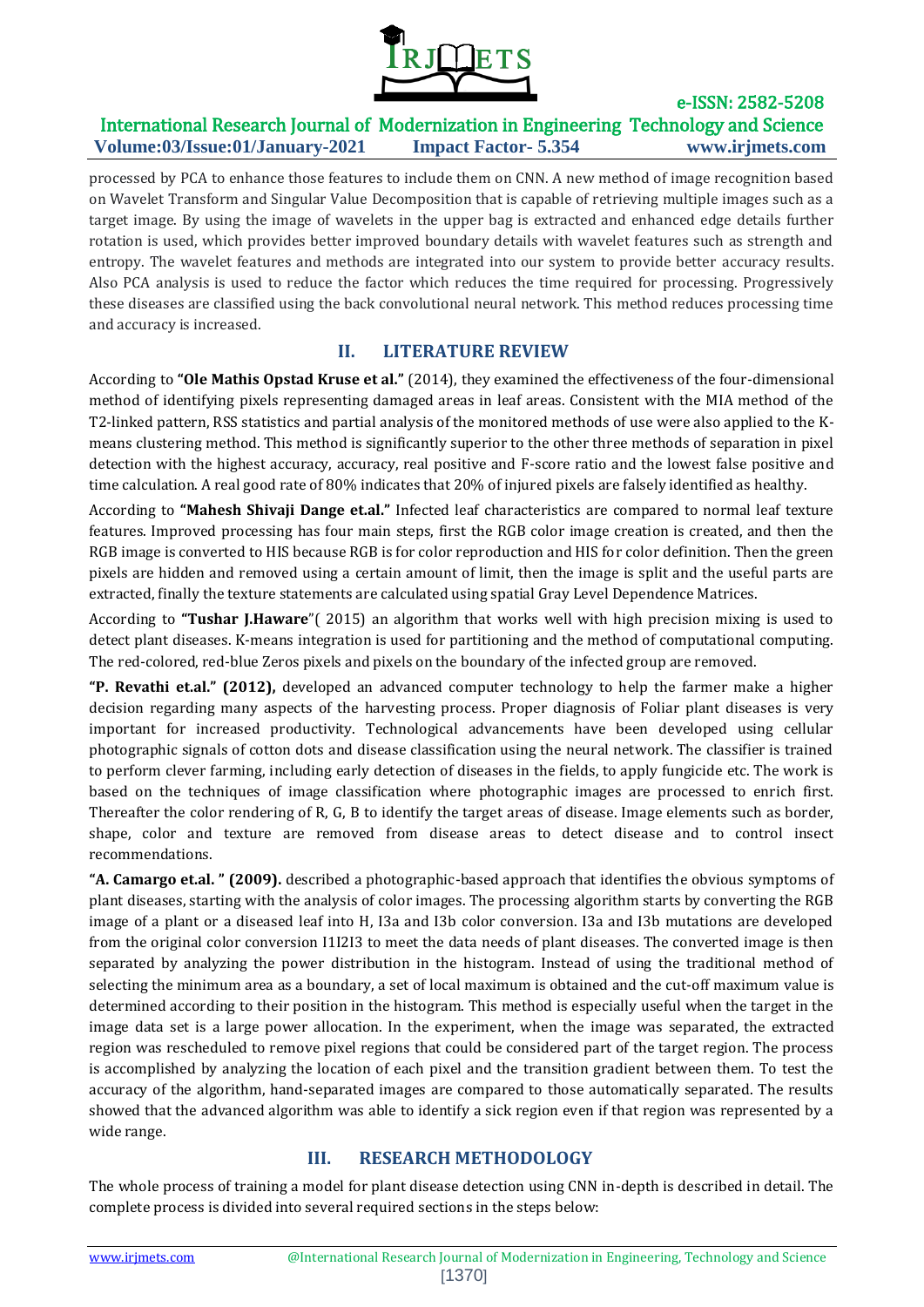

processed by PCA to enhance those features to include them on CNN. A new method of image recognition based on Wavelet Transform and Singular Value Decomposition that is capable of retrieving multiple images such as a target image. By using the image of wavelets in the upper bag is extracted and enhanced edge details further rotation is used, which provides better improved boundary details with wavelet features such as strength and entropy. The wavelet features and methods are integrated into our system to provide better accuracy results. Also PCA analysis is used to reduce the factor which reduces the time required for processing. Progressively these diseases are classified using the back convolutional neural network. This method reduces processing time and accuracy is increased.

# **II. LITERATURE REVIEW**

According to **"Ole Mathis Opstad Kruse et al."** (2014), they examined the effectiveness of the four-dimensional method of identifying pixels representing damaged areas in leaf areas. Consistent with the MIA method of the T2-linked pattern, RSS statistics and partial analysis of the monitored methods of use were also applied to the Kmeans clustering method. This method is significantly superior to the other three methods of separation in pixel detection with the highest accuracy, accuracy, real positive and F-score ratio and the lowest false positive and time calculation. A real good rate of 80% indicates that 20% of injured pixels are falsely identified as healthy.

According to **"Mahesh Shivaji Dange et.al."** Infected leaf characteristics are compared to normal leaf texture features. Improved processing has four main steps, first the RGB color image creation is created, and then the RGB image is converted to HIS because RGB is for color reproduction and HIS for color definition. Then the green pixels are hidden and removed using a certain amount of limit, then the image is split and the useful parts are extracted, finally the texture statements are calculated using spatial Gray Level Dependence Matrices.

According to **"Tushar J.Haware**"( 2015) an algorithm that works well with high precision mixing is used to detect plant diseases. K-means integration is used for partitioning and the method of computational computing. The red-colored, red-blue Zeros pixels and pixels on the boundary of the infected group are removed.

**"P. Revathi et.al." (2012),** developed an advanced computer technology to help the farmer make a higher decision regarding many aspects of the harvesting process. Proper diagnosis of Foliar plant diseases is very important for increased productivity. Technological advancements have been developed using cellular photographic signals of cotton dots and disease classification using the neural network. The classifier is trained to perform clever farming, including early detection of diseases in the fields, to apply fungicide etc. The work is based on the techniques of image classification where photographic images are processed to enrich first. Thereafter the color rendering of R, G, B to identify the target areas of disease. Image elements such as border, shape, color and texture are removed from disease areas to detect disease and to control insect recommendations.

**"A. Camargo et.al. " (2009).** described a photographic-based approach that identifies the obvious symptoms of plant diseases, starting with the analysis of color images. The processing algorithm starts by converting the RGB image of a plant or a diseased leaf into H, I3a and I3b color conversion. I3a and I3b mutations are developed from the original color conversion I1I2I3 to meet the data needs of plant diseases. The converted image is then separated by analyzing the power distribution in the histogram. Instead of using the traditional method of selecting the minimum area as a boundary, a set of local maximum is obtained and the cut-off maximum value is determined according to their position in the histogram. This method is especially useful when the target in the image data set is a large power allocation. In the experiment, when the image was separated, the extracted region was rescheduled to remove pixel regions that could be considered part of the target region. The process is accomplished by analyzing the location of each pixel and the transition gradient between them. To test the accuracy of the algorithm, hand-separated images are compared to those automatically separated. The results showed that the advanced algorithm was able to identify a sick region even if that region was represented by a wide range.

# **III. RESEARCH METHODOLOGY**

The whole process of training a model for plant disease detection using CNN in-depth is described in detail. The complete process is divided into several required sections in the steps below: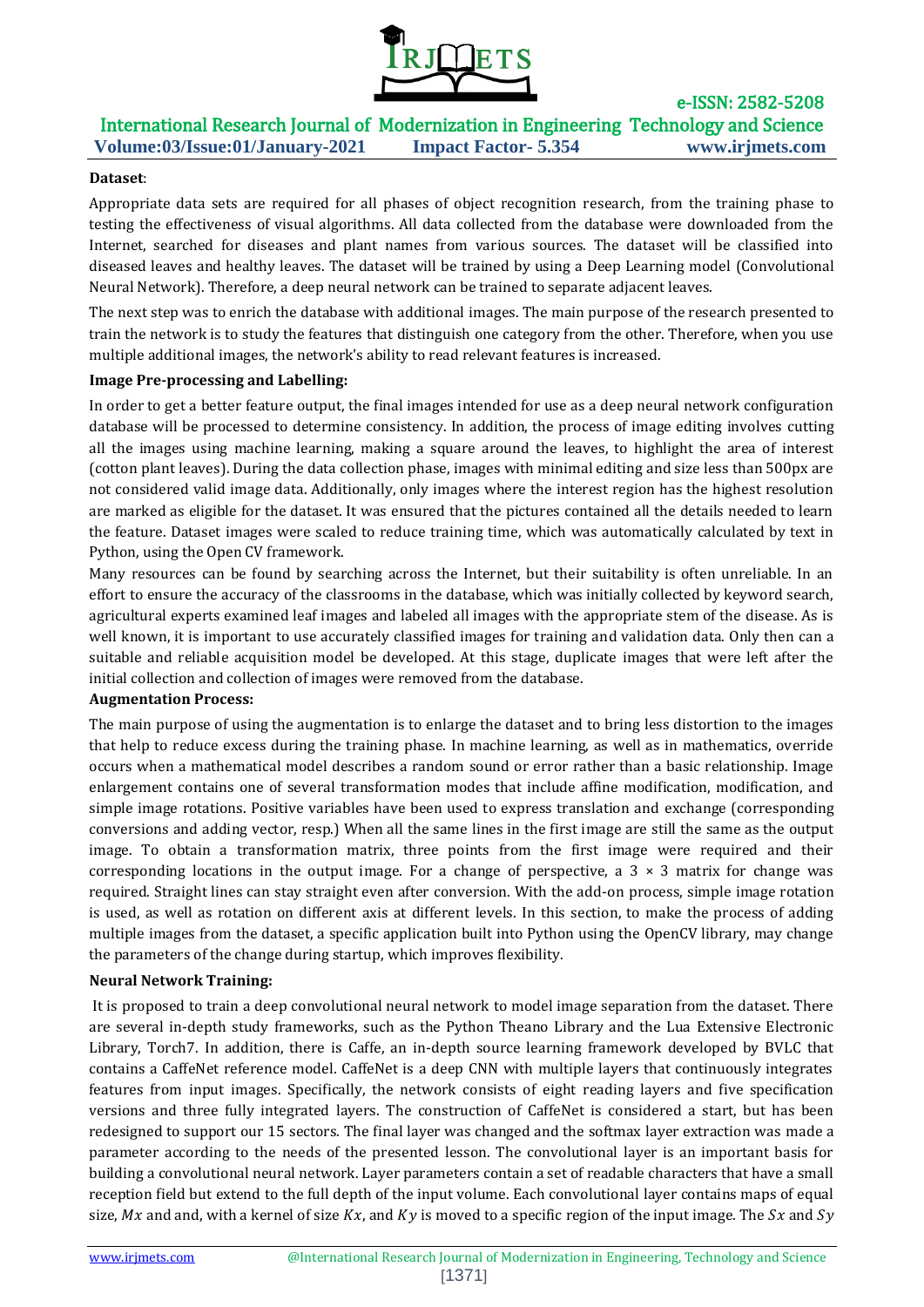

### **Dataset**:

Appropriate data sets are required for all phases of object recognition research, from the training phase to testing the effectiveness of visual algorithms. All data collected from the database were downloaded from the Internet, searched for diseases and plant names from various sources. The dataset will be classified into diseased leaves and healthy leaves. The dataset will be trained by using a Deep Learning model (Convolutional Neural Network). Therefore, a deep neural network can be trained to separate adjacent leaves.

The next step was to enrich the database with additional images. The main purpose of the research presented to train the network is to study the features that distinguish one category from the other. Therefore, when you use multiple additional images, the network's ability to read relevant features is increased.

### **Image Pre-processing and Labelling:**

In order to get a better feature output, the final images intended for use as a deep neural network configuration database will be processed to determine consistency. In addition, the process of image editing involves cutting all the images using machine learning, making a square around the leaves, to highlight the area of interest (cotton plant leaves). During the data collection phase, images with minimal editing and size less than 500px are not considered valid image data. Additionally, only images where the interest region has the highest resolution are marked as eligible for the dataset. It was ensured that the pictures contained all the details needed to learn the feature. Dataset images were scaled to reduce training time, which was automatically calculated by text in Python, using the Open CV framework.

Many resources can be found by searching across the Internet, but their suitability is often unreliable. In an effort to ensure the accuracy of the classrooms in the database, which was initially collected by keyword search, agricultural experts examined leaf images and labeled all images with the appropriate stem of the disease. As is well known, it is important to use accurately classified images for training and validation data. Only then can a suitable and reliable acquisition model be developed. At this stage, duplicate images that were left after the initial collection and collection of images were removed from the database.

#### **Augmentation Process:**

The main purpose of using the augmentation is to enlarge the dataset and to bring less distortion to the images that help to reduce excess during the training phase. In machine learning, as well as in mathematics, override occurs when a mathematical model describes a random sound or error rather than a basic relationship. Image enlargement contains one of several transformation modes that include affine modification, modification, and simple image rotations. Positive variables have been used to express translation and exchange (corresponding conversions and adding vector, resp.) When all the same lines in the first image are still the same as the output image. To obtain a transformation matrix, three points from the first image were required and their corresponding locations in the output image. For a change of perspective, a  $3 \times 3$  matrix for change was required. Straight lines can stay straight even after conversion. With the add-on process, simple image rotation is used, as well as rotation on different axis at different levels. In this section, to make the process of adding multiple images from the dataset, a specific application built into Python using the OpenCV library, may change the parameters of the change during startup, which improves flexibility.

#### **Neural Network Training:**

It is proposed to train a deep convolutional neural network to model image separation from the dataset. There are several in-depth study frameworks, such as the Python Theano Library and the Lua Extensive Electronic Library, Torch7. In addition, there is Caffe, an in-depth source learning framework developed by BVLC that contains a CaffeNet reference model. CaffeNet is a deep CNN with multiple layers that continuously integrates features from input images. Specifically, the network consists of eight reading layers and five specification versions and three fully integrated layers. The construction of CaffeNet is considered a start, but has been redesigned to support our 15 sectors. The final layer was changed and the softmax layer extraction was made a parameter according to the needs of the presented lesson. The convolutional layer is an important basis for building a convolutional neural network. Layer parameters contain a set of readable characters that have a small reception field but extend to the full depth of the input volume. Each convolutional layer contains maps of equal size, Mx and and, with a kernel of size  $Kx$ , and  $Ky$  is moved to a specific region of the input image. The  $Sx$  and  $Sy$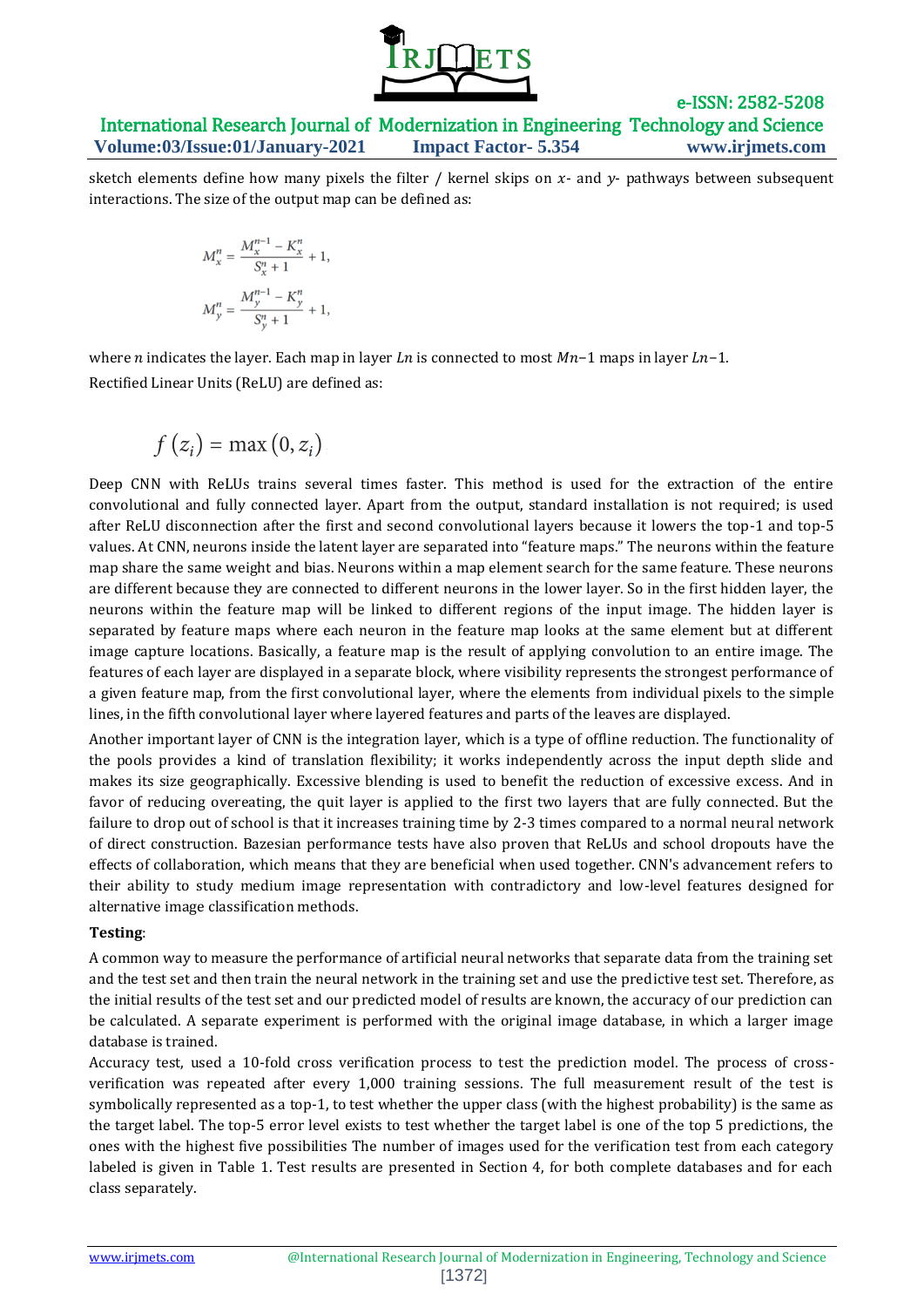

sketch elements define how many pixels the filter / kernel skips on  $x$ - and  $y$ - pathways between subsequent interactions. The size of the output map can be defined as:

$$
M_x^n = \frac{M_x^{n-1} - K_x^n}{S_x^n + 1} + 1,
$$
  

$$
M_y^n = \frac{M_y^{n-1} - K_y^n}{S_y^n + 1} + 1,
$$

where *n* indicates the layer. Each map in layer *Ln* is connected to most  $Mn-1$  maps in layer  $Ln-1$ . Rectified Linear Units (ReLU) are defined as:

$$
f(z_i) = \max(0, z_i)
$$

Deep CNN with ReLUs trains several times faster. This method is used for the extraction of the entire convolutional and fully connected layer. Apart from the output, standard installation is not required; is used after ReLU disconnection after the first and second convolutional layers because it lowers the top-1 and top-5 values. At CNN, neurons inside the latent layer are separated into "feature maps." The neurons within the feature map share the same weight and bias. Neurons within a map element search for the same feature. These neurons are different because they are connected to different neurons in the lower layer. So in the first hidden layer, the neurons within the feature map will be linked to different regions of the input image. The hidden layer is separated by feature maps where each neuron in the feature map looks at the same element but at different image capture locations. Basically, a feature map is the result of applying convolution to an entire image. The features of each layer are displayed in a separate block, where visibility represents the strongest performance of a given feature map, from the first convolutional layer, where the elements from individual pixels to the simple lines, in the fifth convolutional layer where layered features and parts of the leaves are displayed.

Another important layer of CNN is the integration layer, which is a type of offline reduction. The functionality of the pools provides a kind of translation flexibility; it works independently across the input depth slide and makes its size geographically. Excessive blending is used to benefit the reduction of excessive excess. And in favor of reducing overeating, the quit layer is applied to the first two layers that are fully connected. But the failure to drop out of school is that it increases training time by 2-3 times compared to a normal neural network of direct construction. Bazesian performance tests have also proven that ReLUs and school dropouts have the effects of collaboration, which means that they are beneficial when used together. CNN's advancement refers to their ability to study medium image representation with contradictory and low-level features designed for alternative image classification methods.

### **Testing**:

A common way to measure the performance of artificial neural networks that separate data from the training set and the test set and then train the neural network in the training set and use the predictive test set. Therefore, as the initial results of the test set and our predicted model of results are known, the accuracy of our prediction can be calculated. A separate experiment is performed with the original image database, in which a larger image database is trained.

Accuracy test, used a 10-fold cross verification process to test the prediction model. The process of crossverification was repeated after every 1,000 training sessions. The full measurement result of the test is symbolically represented as a top-1, to test whether the upper class (with the highest probability) is the same as the target label. The top-5 error level exists to test whether the target label is one of the top 5 predictions, the ones with the highest five possibilities The number of images used for the verification test from each category labeled is given in Table 1. Test results are presented in Section 4, for both complete databases and for each class separately.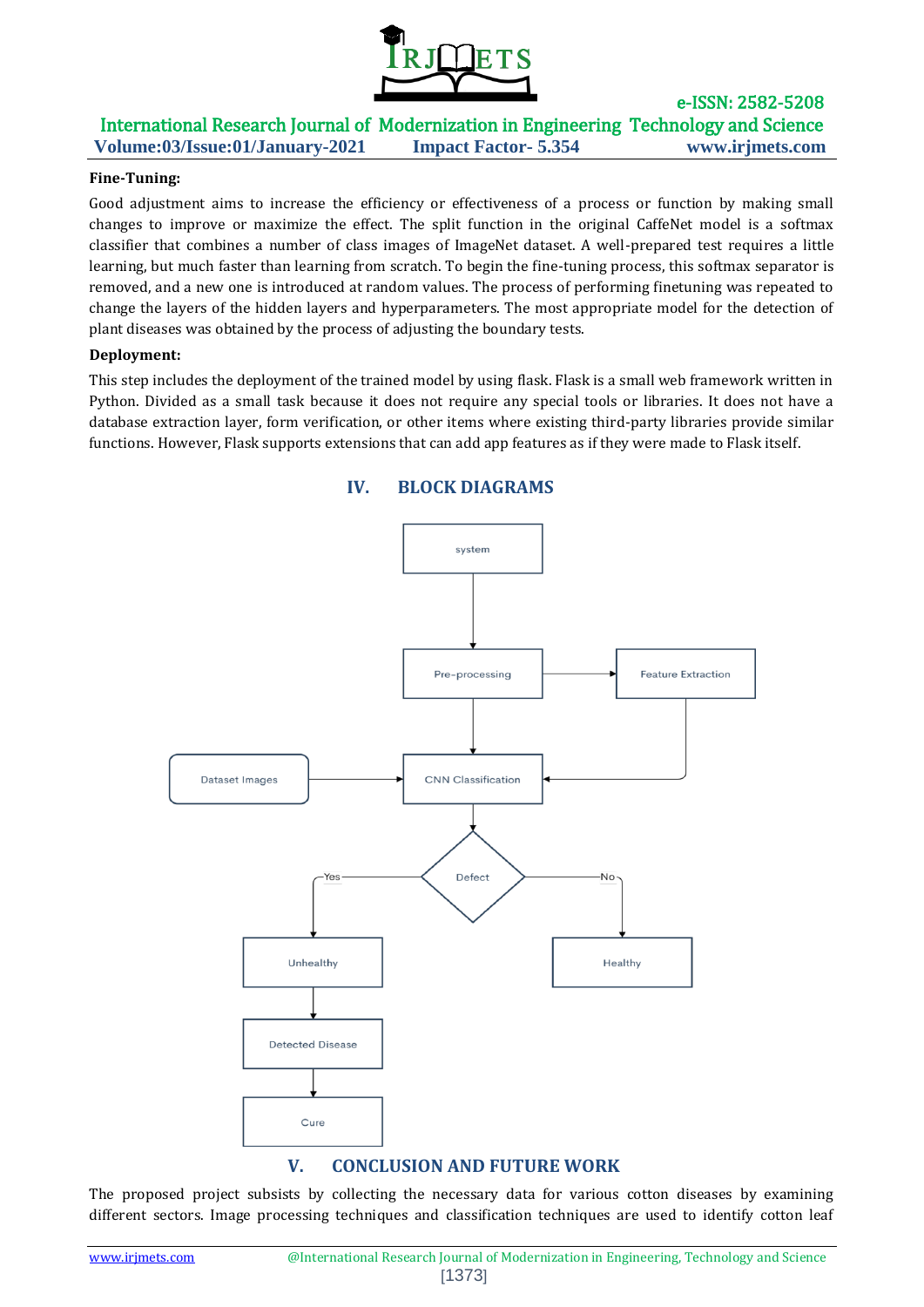

e-ISSN: 2582-5208

### **Fine-Tuning:**

Good adjustment aims to increase the efficiency or effectiveness of a process or function by making small changes to improve or maximize the effect. The split function in the original CaffeNet model is a softmax classifier that combines a number of class images of ImageNet dataset. A well-prepared test requires a little learning, but much faster than learning from scratch. To begin the fine-tuning process, this softmax separator is removed, and a new one is introduced at random values. The process of performing finetuning was repeated to change the layers of the hidden layers and hyperparameters. The most appropriate model for the detection of plant diseases was obtained by the process of adjusting the boundary tests.

#### **Deployment:**

This step includes the deployment of the trained model by using flask. Flask is a small web framework written in Python. Divided as a small task because it does not require any special tools or libraries. It does not have a database extraction layer, form verification, or other items where existing third-party libraries provide similar functions. However, Flask supports extensions that can add app features as if they were made to Flask itself.



The proposed project subsists by collecting the necessary data for various cotton diseases by examining different sectors. Image processing techniques and classification techniques are used to identify cotton leaf

## **IV. BLOCK DIAGRAMS**